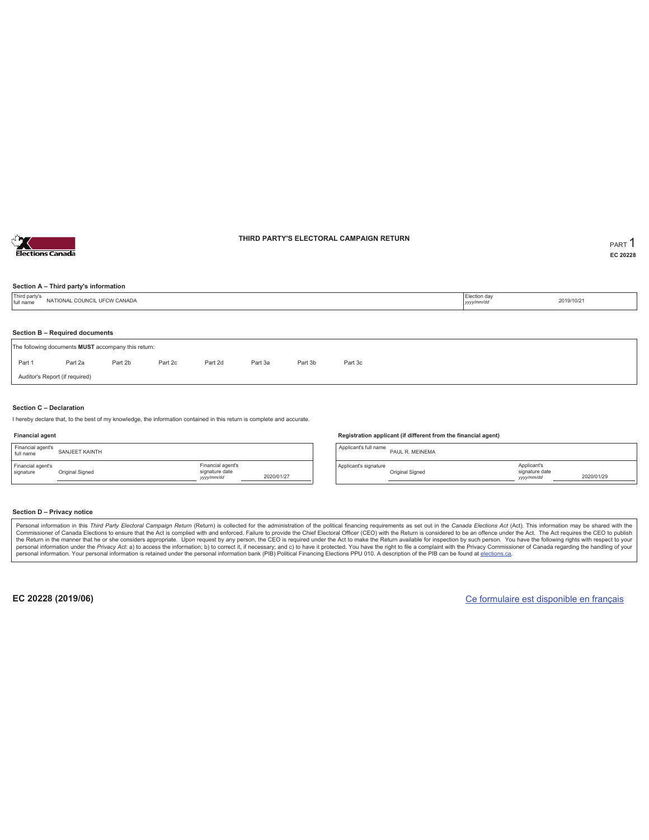

### **THIRD PARTY'S ELECTORAL CAMPAIGN RETURN PART** 1

**EC 20228**

### **Section A – Third party's information**

| Third party's<br>full name | NATIONAL COUNCIL UFCW CANADA                        |         |         |         |         |         |         | Election day<br>yyyy/mm/dd | 2019/10/21 |
|----------------------------|-----------------------------------------------------|---------|---------|---------|---------|---------|---------|----------------------------|------------|
|                            | Section B - Required documents                      |         |         |         |         |         |         |                            |            |
|                            | The following documents MUST accompany this return: |         |         |         |         |         |         |                            |            |
| Part 1                     | Part 2a                                             | Part 2b | Part 2c | Part 2d | Part 3a | Part 3b | Part 3c |                            |            |
|                            | Auditor's Report (if required)                      |         |         |         |         |         |         |                            |            |

#### **Section C – Declaration**

I hereby declare that, to the best of my knowledge, the information contained in this return is complete and accurate.

#### **Financial agent**

| Financial agent's<br>full name | SANJEET KAINTH  |                                                  |            |
|--------------------------------|-----------------|--------------------------------------------------|------------|
| Financial agent's<br>signature | Original Signed | Financial agent's<br>signature date<br>yyy/mm/dd | 2020/01/27 |

#### **Registration applicant (if different from the financial agent)**

Applicant's full name<br>
PAUL R. MEINEMA Applicant's signature Original Signed Applicant's signature date *yyyy/mm/dd* 2020/01/29

#### **Section D – Privacy notice**

Personal information in this Third Party Electoral Campaign Return (Return) is collected for the administration of the political financing requirements as set out in the Canada Elections Act (Act). This information may be Commissioner of Canada Elections to ensure that the Act is complied with and enforced. Failure to provide the Chief Electoral Officer (CEO) with the Return is considered to be an offence under the Act. The Act requires the personal information. Your personal information is retained under the personal information bank (PIB) Political Financing Elections PPU 010. A description of the PIB can be found at elections.ca.

**EC 20228 (2019/06)** Ce formulaire est disponible en français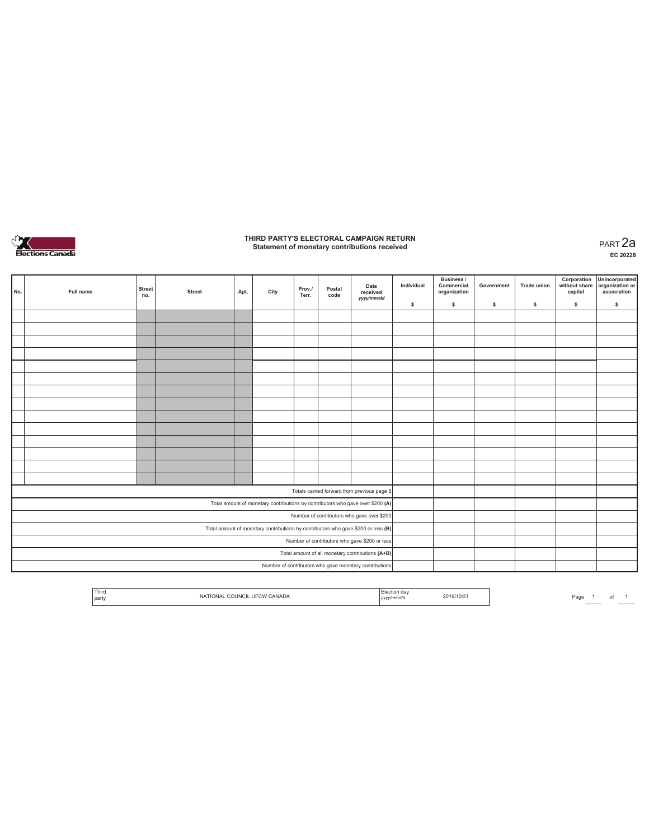

### **THIRD PARTY'S ELECTORAL CAMPAIGN RETURN Statement of monetary contributions received** PART 2a

| No.                                                                               | Full name                                              | <b>Street</b><br>no. | <b>Street</b> | Apt. | City | Prov./<br>Terr. | Postal<br>code | Date<br>received                                                               | Individual | <b>Business /</b><br>Commercial<br>organization | Government | <b>Trade union</b> | Corporation<br>capital | Unincorporated<br>without share organization or<br>association |
|-----------------------------------------------------------------------------------|--------------------------------------------------------|----------------------|---------------|------|------|-----------------|----------------|--------------------------------------------------------------------------------|------------|-------------------------------------------------|------------|--------------------|------------------------|----------------------------------------------------------------|
|                                                                                   |                                                        |                      |               |      |      |                 |                | yyyy/mm/dd                                                                     | \$         | \$                                              | \$         | \$                 | \$                     | \$                                                             |
|                                                                                   |                                                        |                      |               |      |      |                 |                |                                                                                |            |                                                 |            |                    |                        |                                                                |
|                                                                                   |                                                        |                      |               |      |      |                 |                |                                                                                |            |                                                 |            |                    |                        |                                                                |
|                                                                                   |                                                        |                      |               |      |      |                 |                |                                                                                |            |                                                 |            |                    |                        |                                                                |
|                                                                                   |                                                        |                      |               |      |      |                 |                |                                                                                |            |                                                 |            |                    |                        |                                                                |
|                                                                                   |                                                        |                      |               |      |      |                 |                |                                                                                |            |                                                 |            |                    |                        |                                                                |
|                                                                                   |                                                        |                      |               |      |      |                 |                |                                                                                |            |                                                 |            |                    |                        |                                                                |
|                                                                                   |                                                        |                      |               |      |      |                 |                |                                                                                |            |                                                 |            |                    |                        |                                                                |
|                                                                                   |                                                        |                      |               |      |      |                 |                |                                                                                |            |                                                 |            |                    |                        |                                                                |
|                                                                                   |                                                        |                      |               |      |      |                 |                |                                                                                |            |                                                 |            |                    |                        |                                                                |
|                                                                                   |                                                        |                      |               |      |      |                 |                |                                                                                |            |                                                 |            |                    |                        |                                                                |
|                                                                                   |                                                        |                      |               |      |      |                 |                |                                                                                |            |                                                 |            |                    |                        |                                                                |
|                                                                                   |                                                        |                      |               |      |      |                 |                |                                                                                |            |                                                 |            |                    |                        |                                                                |
|                                                                                   |                                                        |                      |               |      |      |                 |                |                                                                                |            |                                                 |            |                    |                        |                                                                |
|                                                                                   |                                                        |                      |               |      |      |                 |                |                                                                                |            |                                                 |            |                    |                        |                                                                |
|                                                                                   |                                                        |                      |               |      |      |                 |                | Totals carried forward from previous page \$                                   |            |                                                 |            |                    |                        |                                                                |
|                                                                                   |                                                        |                      |               |      |      |                 |                | Total amount of monetary contributions by contributors who gave over \$200 (A) |            |                                                 |            |                    |                        |                                                                |
|                                                                                   | Number of contributors who gave over \$200             |                      |               |      |      |                 |                |                                                                                |            |                                                 |            |                    |                        |                                                                |
| Total amount of monetary contributions by contributors who gave \$200 or less (B) |                                                        |                      |               |      |      |                 |                |                                                                                |            |                                                 |            |                    |                        |                                                                |
|                                                                                   | Number of contributors who gave \$200 or less          |                      |               |      |      |                 |                |                                                                                |            |                                                 |            |                    |                        |                                                                |
|                                                                                   | Total amount of all monetary contributions (A+B)       |                      |               |      |      |                 |                |                                                                                |            |                                                 |            |                    |                        |                                                                |
|                                                                                   | Number of contributors who gave monetary contributions |                      |               |      |      |                 |                |                                                                                |            |                                                 |            |                    |                        |                                                                |

| <sup>1</sup> Third<br>l party | $\sim$ 11 INC.<br>ANALIA<br>. | uc<br>mmva<br>$1$ <i>yyyyı</i> | 2019/10/2 |  | Pagu |  |  |  |
|-------------------------------|-------------------------------|--------------------------------|-----------|--|------|--|--|--|
|-------------------------------|-------------------------------|--------------------------------|-----------|--|------|--|--|--|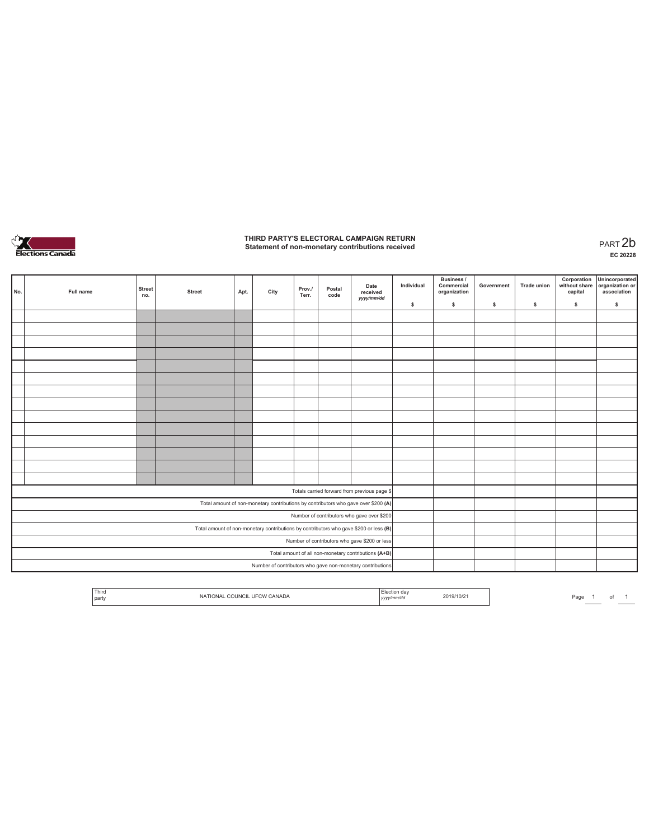

# **THIRD PARTY'S ELECTORAL CAMPAIGN RETURN Statement of non-monetary contributions received** PART 2b

| No.                                                                                   | Full name                                     | <b>Street</b><br>no. | <b>Street</b> | Apt. | City | Prov./<br>Terr. | Postal<br>code | Date<br>received<br>yyyy/mm/dd                                                     | Individual | Business /<br>Commercial<br>organization | Government | <b>Trade union</b> | Corporation<br>without share<br>capital | Unincorporated<br>organization or<br>association |
|---------------------------------------------------------------------------------------|-----------------------------------------------|----------------------|---------------|------|------|-----------------|----------------|------------------------------------------------------------------------------------|------------|------------------------------------------|------------|--------------------|-----------------------------------------|--------------------------------------------------|
|                                                                                       |                                               |                      |               |      |      |                 |                |                                                                                    | \$         | $\mathbb S$                              | \$         | \$                 | \$                                      | \$                                               |
|                                                                                       |                                               |                      |               |      |      |                 |                |                                                                                    |            |                                          |            |                    |                                         |                                                  |
|                                                                                       |                                               |                      |               |      |      |                 |                |                                                                                    |            |                                          |            |                    |                                         |                                                  |
|                                                                                       |                                               |                      |               |      |      |                 |                |                                                                                    |            |                                          |            |                    |                                         |                                                  |
|                                                                                       |                                               |                      |               |      |      |                 |                |                                                                                    |            |                                          |            |                    |                                         |                                                  |
|                                                                                       |                                               |                      |               |      |      |                 |                |                                                                                    |            |                                          |            |                    |                                         |                                                  |
|                                                                                       |                                               |                      |               |      |      |                 |                |                                                                                    |            |                                          |            |                    |                                         |                                                  |
|                                                                                       |                                               |                      |               |      |      |                 |                |                                                                                    |            |                                          |            |                    |                                         |                                                  |
|                                                                                       |                                               |                      |               |      |      |                 |                |                                                                                    |            |                                          |            |                    |                                         |                                                  |
|                                                                                       |                                               |                      |               |      |      |                 |                |                                                                                    |            |                                          |            |                    |                                         |                                                  |
|                                                                                       |                                               |                      |               |      |      |                 |                |                                                                                    |            |                                          |            |                    |                                         |                                                  |
|                                                                                       |                                               |                      |               |      |      |                 |                |                                                                                    |            |                                          |            |                    |                                         |                                                  |
|                                                                                       |                                               |                      |               |      |      |                 |                |                                                                                    |            |                                          |            |                    |                                         |                                                  |
|                                                                                       |                                               |                      |               |      |      |                 |                |                                                                                    |            |                                          |            |                    |                                         |                                                  |
|                                                                                       |                                               |                      |               |      |      |                 |                |                                                                                    |            |                                          |            |                    |                                         |                                                  |
|                                                                                       |                                               |                      |               |      |      |                 |                | Totals carried forward from previous page \$                                       |            |                                          |            |                    |                                         |                                                  |
|                                                                                       |                                               |                      |               |      |      |                 |                | Total amount of non-monetary contributions by contributors who gave over \$200 (A) |            |                                          |            |                    |                                         |                                                  |
| Number of contributors who gave over \$200                                            |                                               |                      |               |      |      |                 |                |                                                                                    |            |                                          |            |                    |                                         |                                                  |
| Total amount of non-monetary contributions by contributors who gave \$200 or less (B) |                                               |                      |               |      |      |                 |                |                                                                                    |            |                                          |            |                    |                                         |                                                  |
|                                                                                       | Number of contributors who gave \$200 or less |                      |               |      |      |                 |                |                                                                                    |            |                                          |            |                    |                                         |                                                  |
|                                                                                       |                                               |                      |               |      |      |                 |                | Total amount of all non-monetary contributions (A+B)                               |            |                                          |            |                    |                                         |                                                  |
|                                                                                       |                                               |                      |               |      |      |                 |                | Number of contributors who gave non-monetary contributions                         |            |                                          |            |                    |                                         |                                                  |

|  | l par | <b>Third</b><br>the contract of the contract of |  | ,,,, | 22.5<br>9/10/2 |  |  |  |  |
|--|-------|-------------------------------------------------|--|------|----------------|--|--|--|--|
|--|-------|-------------------------------------------------|--|------|----------------|--|--|--|--|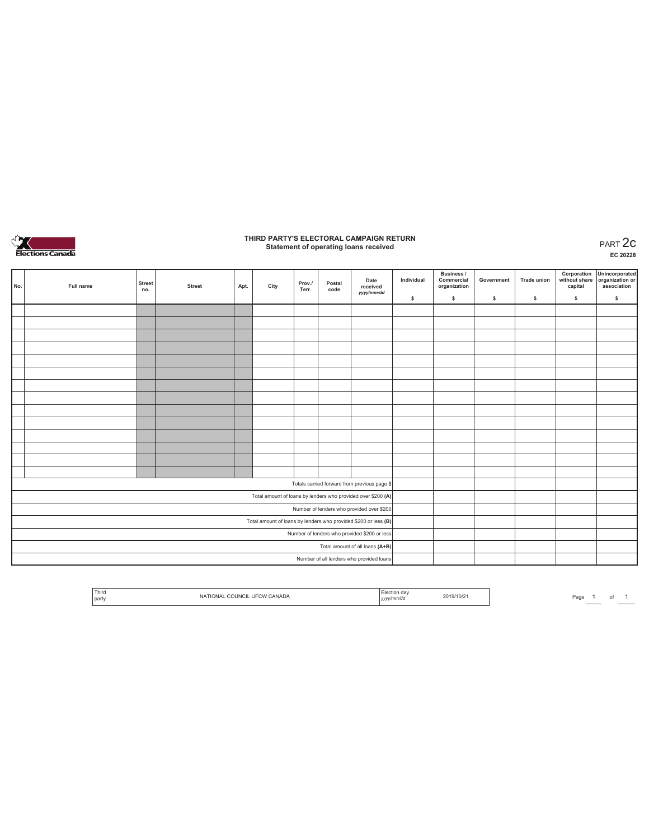

### **THIRD PARTY'S ELECTORAL CAMPAIGN RETURN Statement of operating loans received** PART 2c

**EC 20228**

|                                           | No.                                                             | Full name | <b>Street</b><br>no. | <b>Street</b> | Apt. | City | Prov./<br>Terr. | Postal<br>code | Date<br>received<br>yyyy/mm/dd                               | Individual | <b>Business /</b><br>Commercial<br>organization | Government | <b>Trade union</b> | Corporation<br>without share<br>capital | Unincorporated<br>organization or<br>association |
|-------------------------------------------|-----------------------------------------------------------------|-----------|----------------------|---------------|------|------|-----------------|----------------|--------------------------------------------------------------|------------|-------------------------------------------------|------------|--------------------|-----------------------------------------|--------------------------------------------------|
|                                           |                                                                 |           |                      |               |      |      |                 |                |                                                              | \$         | \$.                                             | \$         | s                  | \$                                      | $\mathbb S$                                      |
|                                           |                                                                 |           |                      |               |      |      |                 |                |                                                              |            |                                                 |            |                    |                                         |                                                  |
|                                           |                                                                 |           |                      |               |      |      |                 |                |                                                              |            |                                                 |            |                    |                                         |                                                  |
|                                           |                                                                 |           |                      |               |      |      |                 |                |                                                              |            |                                                 |            |                    |                                         |                                                  |
|                                           |                                                                 |           |                      |               |      |      |                 |                |                                                              |            |                                                 |            |                    |                                         |                                                  |
|                                           |                                                                 |           |                      |               |      |      |                 |                |                                                              |            |                                                 |            |                    |                                         |                                                  |
|                                           |                                                                 |           |                      |               |      |      |                 |                |                                                              |            |                                                 |            |                    |                                         |                                                  |
|                                           |                                                                 |           |                      |               |      |      |                 |                |                                                              |            |                                                 |            |                    |                                         |                                                  |
|                                           |                                                                 |           |                      |               |      |      |                 |                |                                                              |            |                                                 |            |                    |                                         |                                                  |
|                                           |                                                                 |           |                      |               |      |      |                 |                |                                                              |            |                                                 |            |                    |                                         |                                                  |
|                                           |                                                                 |           |                      |               |      |      |                 |                |                                                              |            |                                                 |            |                    |                                         |                                                  |
|                                           |                                                                 |           |                      |               |      |      |                 |                |                                                              |            |                                                 |            |                    |                                         |                                                  |
|                                           |                                                                 |           |                      |               |      |      |                 |                |                                                              |            |                                                 |            |                    |                                         |                                                  |
|                                           |                                                                 |           |                      |               |      |      |                 |                |                                                              |            |                                                 |            |                    |                                         |                                                  |
|                                           |                                                                 |           |                      |               |      |      |                 |                |                                                              |            |                                                 |            |                    |                                         |                                                  |
|                                           |                                                                 |           |                      |               |      |      |                 |                | Totals carried forward from previous page \$                 |            |                                                 |            |                    |                                         |                                                  |
|                                           |                                                                 |           |                      |               |      |      |                 |                | Total amount of loans by lenders who provided over \$200 (A) |            |                                                 |            |                    |                                         |                                                  |
| Number of lenders who provided over \$200 |                                                                 |           |                      |               |      |      |                 |                |                                                              |            |                                                 |            |                    |                                         |                                                  |
|                                           | Total amount of loans by lenders who provided \$200 or less (B) |           |                      |               |      |      |                 |                |                                                              |            |                                                 |            |                    |                                         |                                                  |
|                                           | Number of lenders who provided \$200 or less                    |           |                      |               |      |      |                 |                |                                                              |            |                                                 |            |                    |                                         |                                                  |
|                                           | Total amount of all loans (A+B)                                 |           |                      |               |      |      |                 |                |                                                              |            |                                                 |            |                    |                                         |                                                  |
|                                           | Number of all lenders who provided loans                        |           |                      |               |      |      |                 |                |                                                              |            |                                                 |            |                    |                                         |                                                  |

| <sup>1</sup> Third<br>`'∩''<br>COLIN.<br>NA<br>ומור<br><i>J</i> ANADA.<br>l nartv<br>. | ı da<br>19/10/21<br>v/mm/dd<br>,,,,, |
|----------------------------------------------------------------------------------------|--------------------------------------|
|----------------------------------------------------------------------------------------|--------------------------------------|

Page  $1$  of  $1$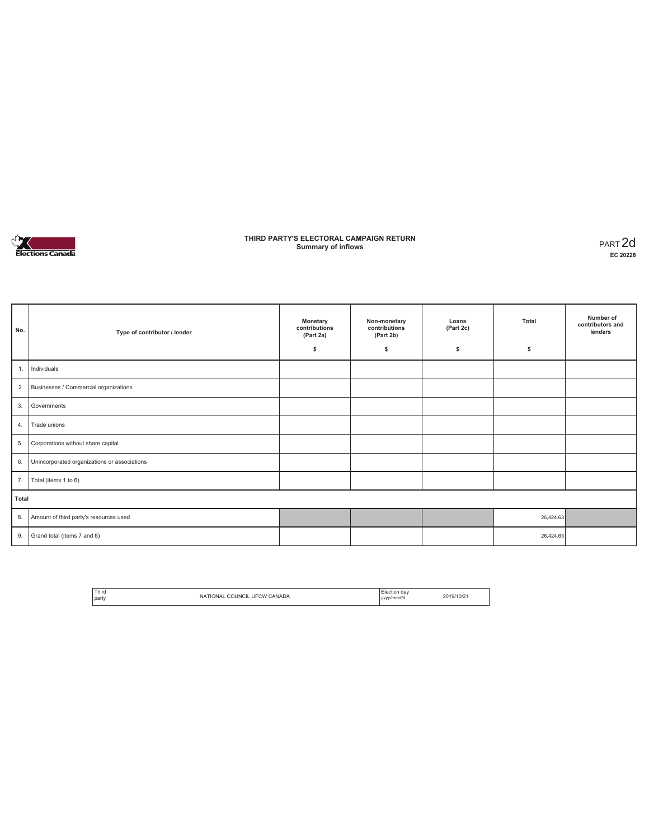

### **THIRD PARTY'S ELECTORAL CAMPAIGN RETURN Summary of inflows** PART 2d

| No.   | Type of contributor / lender                 | Monetary<br>contributions<br>(Part 2a)<br>\$ | Non-monetary<br>contributions<br>(Part 2b)<br>\$ | Loans<br>(Part 2c)<br>s | Total<br>\$ | Number of<br>contributors and<br>lenders |
|-------|----------------------------------------------|----------------------------------------------|--------------------------------------------------|-------------------------|-------------|------------------------------------------|
| 1.    | Individuals                                  |                                              |                                                  |                         |             |                                          |
| 2.    | Businesses / Commercial organizations        |                                              |                                                  |                         |             |                                          |
| 3.    | Governments                                  |                                              |                                                  |                         |             |                                          |
| 4.    | Trade unions                                 |                                              |                                                  |                         |             |                                          |
| 5.    | Corporations without share capital           |                                              |                                                  |                         |             |                                          |
| 6.    | Unincorporated organizations or associations |                                              |                                                  |                         |             |                                          |
| 7.    | Total (items 1 to 6)                         |                                              |                                                  |                         |             |                                          |
| Total |                                              |                                              |                                                  |                         |             |                                          |
| 8.    | Amount of third party's resources used       |                                              |                                                  |                         | 26,424.63   |                                          |
| 9.    | Grand total (items 7 and 8)                  |                                              |                                                  |                         | 26,424.63   |                                          |

| <sup>1</sup> Third |                                       | Flection day |           |
|--------------------|---------------------------------------|--------------|-----------|
| l party            | _ COUNCIL UFCW OF<br>CANADA<br>TIONAL | yyyy/mm/dd   | 2019/10/2 |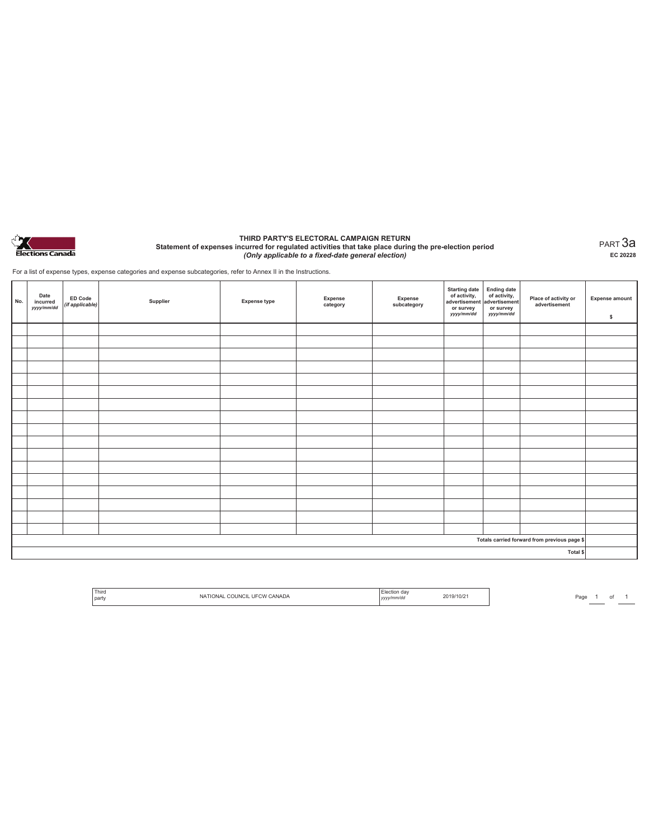

#### **THIRD PARTY'S ELECTORAL CAMPAIGN RETURN Statement of expenses incurred for regulated activities that take place during the pre-election period**  *(Only applicable to a fixed-date general election)*

PART 3a **EC 20228**

For a list of expense types, expense categories and expense subcategories, refer to Annex II in the Instructions.

| No. | Date<br>incurred<br>yyyy/mm/dd | ED Code<br>(if applicable) | Supplier | <b>Expense type</b> | Expense<br>category | Expense<br>subcategory | Starting date<br>of activity,<br>advertisement<br>advertisement<br>dvertisement<br>or survey<br>yyyy/mm/dd | or survey<br>yyyy/mm/dd | Place of activity or<br>advertisement        | <b>Expense amount</b><br>\$ |
|-----|--------------------------------|----------------------------|----------|---------------------|---------------------|------------------------|------------------------------------------------------------------------------------------------------------|-------------------------|----------------------------------------------|-----------------------------|
|     |                                |                            |          |                     |                     |                        |                                                                                                            |                         |                                              |                             |
|     |                                |                            |          |                     |                     |                        |                                                                                                            |                         |                                              |                             |
|     |                                |                            |          |                     |                     |                        |                                                                                                            |                         |                                              |                             |
|     |                                |                            |          |                     |                     |                        |                                                                                                            |                         |                                              |                             |
|     |                                |                            |          |                     |                     |                        |                                                                                                            |                         |                                              |                             |
|     |                                |                            |          |                     |                     |                        |                                                                                                            |                         |                                              |                             |
|     |                                |                            |          |                     |                     |                        |                                                                                                            |                         |                                              |                             |
|     |                                |                            |          |                     |                     |                        |                                                                                                            |                         |                                              |                             |
|     |                                |                            |          |                     |                     |                        |                                                                                                            |                         |                                              |                             |
|     |                                |                            |          |                     |                     |                        |                                                                                                            |                         |                                              |                             |
|     |                                |                            |          |                     |                     |                        |                                                                                                            |                         |                                              |                             |
|     |                                |                            |          |                     |                     |                        |                                                                                                            |                         |                                              |                             |
|     |                                |                            |          |                     |                     |                        |                                                                                                            |                         |                                              |                             |
|     |                                |                            |          |                     |                     |                        |                                                                                                            |                         |                                              |                             |
|     |                                |                            |          |                     |                     |                        |                                                                                                            |                         |                                              |                             |
|     |                                |                            |          |                     |                     |                        |                                                                                                            |                         |                                              |                             |
|     |                                |                            |          |                     |                     |                        |                                                                                                            |                         |                                              |                             |
|     |                                |                            |          |                     |                     |                        |                                                                                                            |                         | Totals carried forward from previous page \$ |                             |
|     |                                |                            |          |                     |                     |                        |                                                                                                            |                         | Total \$                                     |                             |

| Third<br><b>UFCW</b><br><b>CANADA</b><br>NΑ<br>YJUNGIL<br><b>JNA</b><br>party | ∟lection dav<br>yy/mm/dd | `19/10/2 .<br>2U 12<br>$-1$ |
|-------------------------------------------------------------------------------|--------------------------|-----------------------------|
|-------------------------------------------------------------------------------|--------------------------|-----------------------------|

Page  $\frac{1}{\phantom{1}}$  of  $\frac{1}{\phantom{1}}$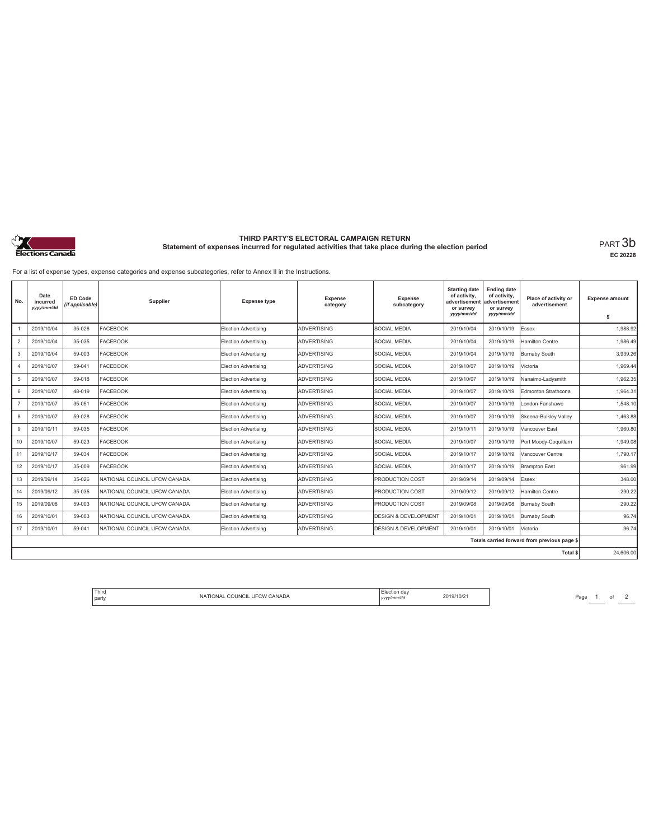

# **THIRD PARTY'S ELECTORAL CAMPAIGN RETURN Statement of expenses incurred for regulated activities that take place during the election period** PART 3b

**EC 20228**

For a list of expense types, expense categories and expense subcategories, refer to Annex II in the Instructions.

| No.            | Date<br>incurred<br>yyyy/mm/dd | <b>ED Code</b><br>(if applicable) | Supplier                     | <b>Expense type</b>         | <b>Expense</b><br>category | <b>Expense</b><br>subcategory   | <b>Starting date</b><br>of activity,<br>advertisement<br>or survey<br>yyyy/mm/dd | <b>Ending date</b><br>of activity,<br>advertisement<br>or survey<br>yyyy/mm/dd | Place of activity or<br>advertisement        | <b>Expense amount</b><br>s |
|----------------|--------------------------------|-----------------------------------|------------------------------|-----------------------------|----------------------------|---------------------------------|----------------------------------------------------------------------------------|--------------------------------------------------------------------------------|----------------------------------------------|----------------------------|
|                | 2019/10/04                     | 35-026                            | <b>FACEBOOK</b>              | Election Advertising        | <b>ADVERTISING</b>         | <b>SOCIAL MEDIA</b>             | 2019/10/04                                                                       | 2019/10/19                                                                     | Essex                                        | 1,988.92                   |
| $\overline{2}$ | 2019/10/04                     | 35-035                            | <b>FACEBOOK</b>              | Election Advertising        | <b>ADVERTISING</b>         | <b>SOCIAL MEDIA</b>             | 2019/10/04                                                                       | 2019/10/19                                                                     | Hamilton Centre                              | 1.986.49                   |
| 3              | 2019/10/04                     | 59-003                            | <b>FACEBOOK</b>              | <b>Election Advertising</b> | <b>ADVERTISING</b>         | <b>SOCIAL MEDIA</b>             | 2019/10/04                                                                       | 2019/10/19                                                                     | <b>Burnaby South</b>                         | 3,939.26                   |
| $\overline{4}$ | 2019/10/07                     | 59-041                            | <b>FACEBOOK</b>              | Election Advertising        | <b>ADVERTISING</b>         | <b>SOCIAL MEDIA</b>             | 2019/10/07                                                                       | 2019/10/19                                                                     | Victoria                                     | 1.969.44                   |
| 5              | 2019/10/07                     | 59-018                            | <b>FACEBOOK</b>              | Election Advertising        | <b>ADVERTISING</b>         | <b>SOCIAL MEDIA</b>             | 2019/10/07                                                                       | 2019/10/19                                                                     | Nanaimo-Ladysmith                            | 1.962.35                   |
| 6              | 2019/10/07                     | 48-019                            | <b>FACEBOOK</b>              | Election Advertising        | <b>ADVERTISING</b>         | <b>SOCIAL MEDIA</b>             | 2019/10/07                                                                       | 2019/10/19                                                                     | Edmonton Strathcona                          | 1.964.31                   |
| $\overline{7}$ | 2019/10/07                     | 35-051                            | <b>FACEBOOK</b>              | Election Advertising        | <b>ADVERTISING</b>         | <b>SOCIAL MEDIA</b>             | 2019/10/07                                                                       | 2019/10/19                                                                     | London-Fanshawe                              | 1.548.10                   |
| 8              | 2019/10/07                     | 59-028                            | <b>FACEBOOK</b>              | Election Advertising        | <b>ADVERTISING</b>         | <b>SOCIAL MEDIA</b>             | 2019/10/07                                                                       | 2019/10/19                                                                     | Skeena-Bulkley Valley                        | 1,463.88                   |
| 9              | 2019/10/11                     | 59-035                            | <b>FACEBOOK</b>              | Election Advertising        | <b>ADVERTISING</b>         | <b>SOCIAL MEDIA</b>             | 2019/10/11                                                                       | 2019/10/19                                                                     | Vancouver East                               | 1.960.80                   |
| 10             | 2019/10/07                     | 59-023                            | <b>FACEBOOK</b>              | Election Advertising        | <b>ADVERTISING</b>         | <b>SOCIAL MEDIA</b>             | 2019/10/07                                                                       | 2019/10/19                                                                     | Port Moody-Coquitlam                         | 1.949.08                   |
| 11             | 2019/10/17                     | 59-034                            | <b>FACEBOOK</b>              | Election Advertising        | <b>ADVERTISING</b>         | <b>SOCIAL MEDIA</b>             | 2019/10/17                                                                       | 2019/10/19                                                                     | Vancouver Centre                             | 1,790.17                   |
| 12             | 2019/10/17                     | 35-009                            | <b>FACEBOOK</b>              | Election Advertising        | <b>ADVERTISING</b>         | <b>SOCIAL MEDIA</b>             | 2019/10/17                                                                       | 2019/10/19                                                                     | <b>Brampton East</b>                         | 961.99                     |
| 13             | 2019/09/14                     | 35-026                            | NATIONAL COUNCIL UFCW CANADA | Election Advertising        | <b>ADVERTISING</b>         | <b>PRODUCTION COST</b>          | 2019/09/14                                                                       | 2019/09/14                                                                     | Essex                                        | 348.00                     |
| 14             | 2019/09/12                     | 35-035                            | NATIONAL COUNCIL UFCW CANADA | Election Advertising        | <b>ADVERTISING</b>         | <b>PRODUCTION COST</b>          | 2019/09/12                                                                       | 2019/09/12                                                                     | Hamilton Centre                              | 290.22                     |
| 15             | 2019/09/08                     | 59-003                            | NATIONAL COUNCIL UFCW CANADA | <b>Election Advertising</b> | <b>ADVERTISING</b>         | <b>PRODUCTION COST</b>          | 2019/09/08                                                                       | 2019/09/08                                                                     | <b>Burnaby South</b>                         | 290.22                     |
| 16             | 2019/10/01                     | 59-003                            | NATIONAL COUNCIL UFCW CANADA | Election Advertising        | <b>ADVERTISING</b>         | <b>DESIGN &amp; DEVELOPMENT</b> | 2019/10/01                                                                       | 2019/10/01                                                                     | Burnaby South                                | 96.74                      |
| 17             | 2019/10/01                     | 59-041                            | NATIONAL COUNCIL UFCW CANADA | Election Advertising        | <b>ADVERTISING</b>         | <b>DESIGN &amp; DEVELOPMENT</b> | 2019/10/01                                                                       | 2019/10/01                                                                     | Victoria                                     | 96.74                      |
|                |                                |                                   |                              |                             |                            |                                 |                                                                                  |                                                                                | Totals carried forward from previous page \$ |                            |
|                |                                |                                   |                              |                             |                            |                                 |                                                                                  |                                                                                | <b>Total \$</b>                              | 24,606.00                  |

| ' Third<br>l party | NATIONAL COUNCIL UFCW CANADA | Election day<br>yyyy/mm/dd | 2019/10/21 |
|--------------------|------------------------------|----------------------------|------------|
|--------------------|------------------------------|----------------------------|------------|

Page  $1$  of  $2$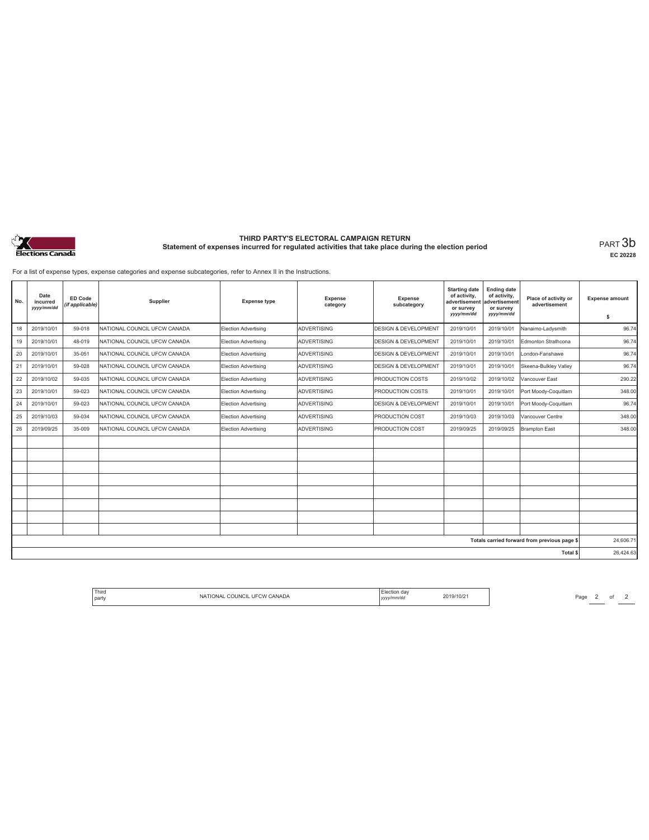

# **THIRD PARTY'S ELECTORAL CAMPAIGN RETURN Statement of expenses incurred for regulated activities that take place during the election period** PART 3b

**EC 20228**

For a list of expense types, expense categories and expense subcategories, refer to Annex II in the Instructions.

| No. | Date<br>incurred<br>yyyy/mm/dd | <b>ED Code</b><br>(if applicable) | Supplier                     | <b>Expense type</b>         | Expense<br>category | Expense<br>subcategory          | <b>Starting date</b><br>of activity,<br>advertisemen<br>or survey<br>yyyy/mm/dd | <b>Ending date</b><br>of activity,<br>advertisement<br>or survey<br>yyyy/mm/dd | Place of activity or<br>advertisement        | <b>Expense amount</b><br>\$ |
|-----|--------------------------------|-----------------------------------|------------------------------|-----------------------------|---------------------|---------------------------------|---------------------------------------------------------------------------------|--------------------------------------------------------------------------------|----------------------------------------------|-----------------------------|
| 18  | 2019/10/01                     | 59-018                            | NATIONAL COUNCIL UFCW CANADA | Election Advertising        | <b>ADVERTISING</b>  | <b>DESIGN &amp; DEVELOPMENT</b> | 2019/10/01                                                                      | 2019/10/01                                                                     | Nanaimo-Ladysmith                            | 96.74                       |
| 19  | 2019/10/01                     | 48-019                            | NATIONAL COUNCIL UFCW CANADA | Election Advertising        | <b>ADVERTISING</b>  | <b>DESIGN &amp; DEVELOPMENT</b> | 2019/10/01                                                                      | 2019/10/01                                                                     | Edmonton Strathcona                          | 96.74                       |
| 20  | 2019/10/01                     | 35-051                            | NATIONAL COUNCIL UFCW CANADA | Election Advertising        | <b>ADVERTISING</b>  | <b>DESIGN &amp; DEVELOPMENT</b> | 2019/10/01                                                                      | 2019/10/01                                                                     | London-Fanshawe                              | 96.74                       |
| 21  | 2019/10/01                     | 59-028                            | NATIONAL COUNCIL UFCW CANADA | Election Advertising        | <b>ADVERTISING</b>  | <b>DESIGN &amp; DEVELOPMENT</b> | 2019/10/01                                                                      | 2019/10/01                                                                     | Skeena-Bulkley Valley                        | 96.74                       |
| 22  | 2019/10/02                     | 59-035                            | NATIONAL COUNCIL UFCW CANADA | Election Advertising        | <b>ADVERTISING</b>  | <b>PRODUCTION COSTS</b>         | 2019/10/02                                                                      | 2019/10/02                                                                     | Vancouver East                               | 290.22                      |
| 23  | 2019/10/01                     | 59-023                            | NATIONAL COUNCIL UFCW CANADA | Election Advertising        | <b>ADVERTISING</b>  | <b>PRODUCTION COSTS</b>         | 2019/10/01                                                                      | 2019/10/01                                                                     | Port Moody-Coquitlam                         | 348.00                      |
| 24  | 2019/10/01                     | 59-023                            | NATIONAL COUNCIL UFCW CANADA | <b>Election Advertising</b> | <b>ADVERTISING</b>  | <b>DESIGN &amp; DEVELOPMENT</b> | 2019/10/01                                                                      | 2019/10/01                                                                     | Port Moody-Coquitlam                         | 96.74                       |
| 25  | 2019/10/03                     | 59-034                            | NATIONAL COUNCIL UFCW CANADA | Election Advertising        | <b>ADVERTISING</b>  | <b>PRODUCTION COST</b>          | 2019/10/03                                                                      | 2019/10/03                                                                     | Vancouver Centre                             | 348.00                      |
| 26  | 2019/09/25                     | 35-009                            | NATIONAL COUNCIL UFCW CANADA | Election Advertising        | <b>ADVERTISING</b>  | <b>PRODUCTION COST</b>          | 2019/09/25                                                                      | 2019/09/25                                                                     | <b>Brampton East</b>                         | 348.00                      |
|     |                                |                                   |                              |                             |                     |                                 |                                                                                 |                                                                                |                                              |                             |
|     |                                |                                   |                              |                             |                     |                                 |                                                                                 |                                                                                |                                              |                             |
|     |                                |                                   |                              |                             |                     |                                 |                                                                                 |                                                                                |                                              |                             |
|     |                                |                                   |                              |                             |                     |                                 |                                                                                 |                                                                                |                                              |                             |
|     |                                |                                   |                              |                             |                     |                                 |                                                                                 |                                                                                |                                              |                             |
|     |                                |                                   |                              |                             |                     |                                 |                                                                                 |                                                                                |                                              |                             |
|     |                                |                                   |                              |                             |                     |                                 |                                                                                 |                                                                                |                                              |                             |
|     |                                |                                   |                              |                             |                     |                                 |                                                                                 |                                                                                |                                              |                             |
|     |                                |                                   |                              |                             |                     |                                 |                                                                                 |                                                                                | Totals carried forward from previous page \$ | 24,606.71                   |
|     |                                |                                   |                              |                             |                     |                                 |                                                                                 |                                                                                | Total \$                                     | 26,424.63                   |

| Third<br>. dav<br><b>OUNCIL</b><br>LIFO<br>∴W∴<br>CANADA<br>ONAL<br>party<br>v/mm/da<br>. | 10/2 |
|-------------------------------------------------------------------------------------------|------|
|-------------------------------------------------------------------------------------------|------|

 $Page 2 of 2$